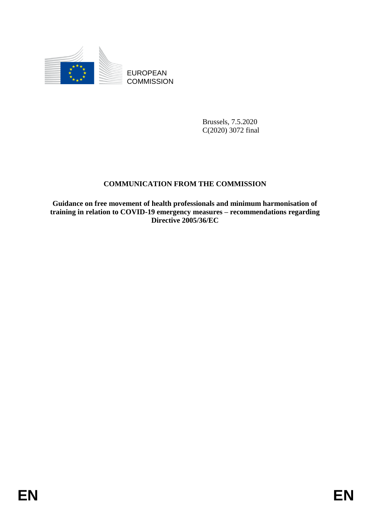

**COMMISSION** 

Brussels, 7.5.2020 C(2020) 3072 final

# **COMMUNICATION FROM THE COMMISSION**

EUROPEAN<br>
EUROPEAN<br>
ENGEL COMMISSION<br>
ENGEL COMMISSION<br>
ENGEL COMMISSION<br>
ENGEL COMMISSION<br>
CRIMING CONDITING FROM THE COMMISSION<br>
Critique on free memorian of the principle properties properties memories required in the c **Guidance on free movement of health professionals and minimum harmonisation of training in relation to COVID-19 emergency measures – recommendations regarding Directive 2005/36/EC**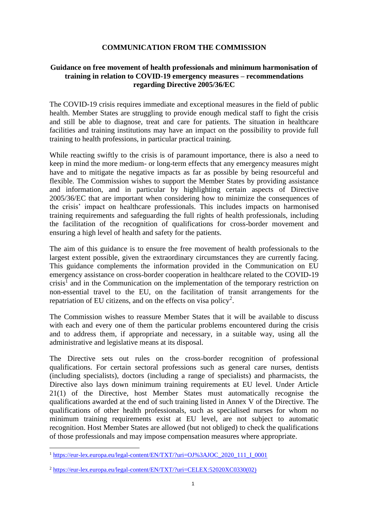#### **COMMUNICATION FROM THE COMMISSION**

# **Guidance on free movement of health professionals and minimum harmonisation of training in relation to COVID-19 emergency measures – recommendations regarding Directive 2005/36/EC**

The COVID-19 crisis requires immediate and exceptional measures in the field of public health. Member States are struggling to provide enough medical staff to fight the crisis and still be able to diagnose, treat and care for patients. The situation in healthcare facilities and training institutions may have an impact on the possibility to provide full training to health professions, in particular practical training.

While reacting swiftly to the crisis is of paramount importance, there is also a need to keep in mind the more medium- or long-term effects that any emergency measures might have and to mitigate the negative impacts as far as possible by being resourceful and flexible. The Commission wishes to support the Member States by providing assistance and information, and in particular by highlighting certain aspects of Directive 2005/36/EC that are important when considering how to minimize the consequences of the crisis' impact on healthcare professionals. This includes impacts on harmonised training requirements and safeguarding the full rights of health professionals, including the facilitation of the recognition of qualifications for cross-border movement and ensuring a high level of health and safety for the patients.

The aim of this guidance is to ensure the free movement of health professionals to the largest extent possible, given the extraordinary circumstances they are currently facing. This guidance complements the information provided in the Communication on EU emergency assistance on cross-border cooperation in healthcare related to the COVID-19 crisis<sup>1</sup> and in the Communication on the implementation of the temporary restriction on non-essential travel to the EU, on the facilitation of transit arrangements for the repatriation of EU citizens, and on the effects on visa policy<sup>2</sup>.

The Commission wishes to reassure Member States that it will be available to discuss with each and every one of them the particular problems encountered during the crisis and to address them, if appropriate and necessary, in a suitable way, using all the administrative and legislative means at its disposal.

The Directive sets out rules on the cross-border recognition of professional qualifications. For certain sectoral professions such as general care nurses, dentists (including specialists), doctors (including a range of specialists) and pharmacists, the Directive also lays down minimum training requirements at EU level. Under Article 21(1) of the Directive, host Member States must automatically recognise the qualifications awarded at the end of such training listed in Annex V of the Directive. The qualifications of other health professionals, such as specialised nurses for whom no minimum training requirements exist at EU level, are not subject to automatic recognition. Host Member States are allowed (but not obliged) to check the qualifications of those professionals and may impose compensation measures where appropriate.

 $\overline{a}$ 

<sup>&</sup>lt;sup>1</sup> [https://eur-lex.europa.eu/legal-content/EN/TXT/?uri=OJ%3AJOC\\_2020\\_111\\_I\\_0001](https://eur-lex.europa.eu/legal-content/EN/TXT/?uri=OJ%3AJOC_2020_111_I_0001)

<sup>2</sup> [https://eur-lex.europa.eu/legal-content/EN/TXT/?uri=CELEX:52020XC0330\(02\)](https://eur-lex.europa.eu/legal-content/EN/TXT/?uri=CELEX:52020XC0330(02))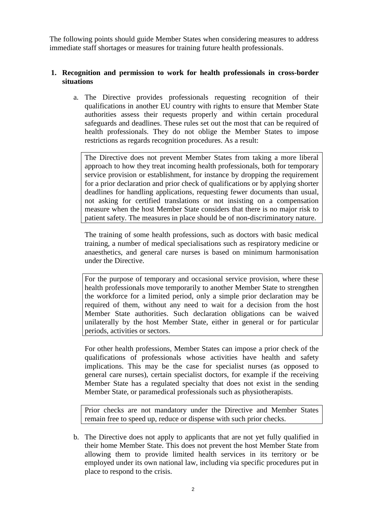The following points should guide Member States when considering measures to address immediate staff shortages or measures for training future health professionals.

### **1. Recognition and permission to work for health professionals in cross-border situations**

a. The Directive provides professionals requesting recognition of their qualifications in another EU country with rights to ensure that Member State authorities assess their requests properly and within certain procedural safeguards and deadlines. These rules set out the most that can be required of health professionals. They do not oblige the Member States to impose restrictions as regards recognition procedures. As a result:

The Directive does not prevent Member States from taking a more liberal approach to how they treat incoming health professionals, both for temporary service provision or establishment, for instance by dropping the requirement for a prior declaration and prior check of qualifications or by applying shorter deadlines for handling applications, requesting fewer documents than usual, not asking for certified translations or not insisting on a compensation measure when the host Member State considers that there is no major risk to patient safety. The measures in place should be of non-discriminatory nature.

The training of some health professions, such as doctors with basic medical training, a number of medical specialisations such as respiratory medicine or anaesthetics, and general care nurses is based on minimum harmonisation under the Directive.

For the purpose of temporary and occasional service provision, where these health professionals move temporarily to another Member State to strengthen the workforce for a limited period, only a simple prior declaration may be required of them, without any need to wait for a decision from the host Member State authorities. Such declaration obligations can be waived unilaterally by the host Member State, either in general or for particular periods, activities or sectors.

For other health professions, Member States can impose a prior check of the qualifications of professionals whose activities have health and safety implications. This may be the case for specialist nurses (as opposed to general care nurses), certain specialist doctors, for example if the receiving Member State has a regulated specialty that does not exist in the sending Member State, or paramedical professionals such as physiotherapists.

Prior checks are not mandatory under the Directive and Member States remain free to speed up, reduce or dispense with such prior checks.

b. The Directive does not apply to applicants that are not yet fully qualified in their home Member State. This does not prevent the host Member State from allowing them to provide limited health services in its territory or be employed under its own national law, including via specific procedures put in place to respond to the crisis.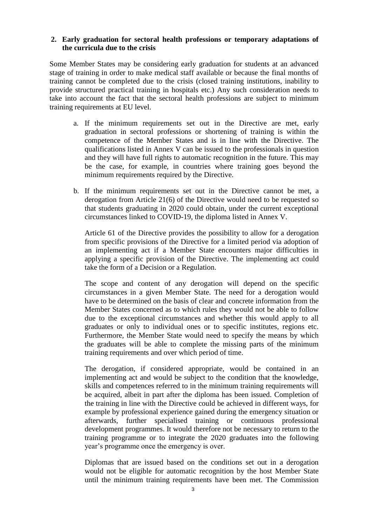### **2. Early graduation for sectoral health professions or temporary adaptations of the curricula due to the crisis**

Some Member States may be considering early graduation for students at an advanced stage of training in order to make medical staff available or because the final months of training cannot be completed due to the crisis (closed training institutions, inability to provide structured practical training in hospitals etc.) Any such consideration needs to take into account the fact that the sectoral health professions are subject to minimum training requirements at EU level.

- a. If the minimum requirements set out in the Directive are met, early graduation in sectoral professions or shortening of training is within the competence of the Member States and is in line with the Directive. The qualifications listed in Annex V can be issued to the professionals in question and they will have full rights to automatic recognition in the future. This may be the case, for example, in countries where training goes beyond the minimum requirements required by the Directive.
- b. If the minimum requirements set out in the Directive cannot be met, a derogation from Article 21(6) of the Directive would need to be requested so that students graduating in 2020 could obtain, under the current exceptional circumstances linked to COVID-19, the diploma listed in Annex V.

Article 61 of the Directive provides the possibility to allow for a derogation from specific provisions of the Directive for a limited period via adoption of an implementing act if a Member State encounters major difficulties in applying a specific provision of the Directive. The implementing act could take the form of a Decision or a Regulation.

The scope and content of any derogation will depend on the specific circumstances in a given Member State. The need for a derogation would have to be determined on the basis of clear and concrete information from the Member States concerned as to which rules they would not be able to follow due to the exceptional circumstances and whether this would apply to all graduates or only to individual ones or to specific institutes, regions etc. Furthermore, the Member State would need to specify the means by which the graduates will be able to complete the missing parts of the minimum training requirements and over which period of time.

The derogation, if considered appropriate, would be contained in an implementing act and would be subject to the condition that the knowledge, skills and competences referred to in the minimum training requirements will be acquired, albeit in part after the diploma has been issued. Completion of the training in line with the Directive could be achieved in different ways, for example by professional experience gained during the emergency situation or afterwards, further specialised training or continuous professional development programmes. It would therefore not be necessary to return to the training programme or to integrate the 2020 graduates into the following year's programme once the emergency is over.

Diplomas that are issued based on the conditions set out in a derogation would not be eligible for automatic recognition by the host Member State until the minimum training requirements have been met. The Commission